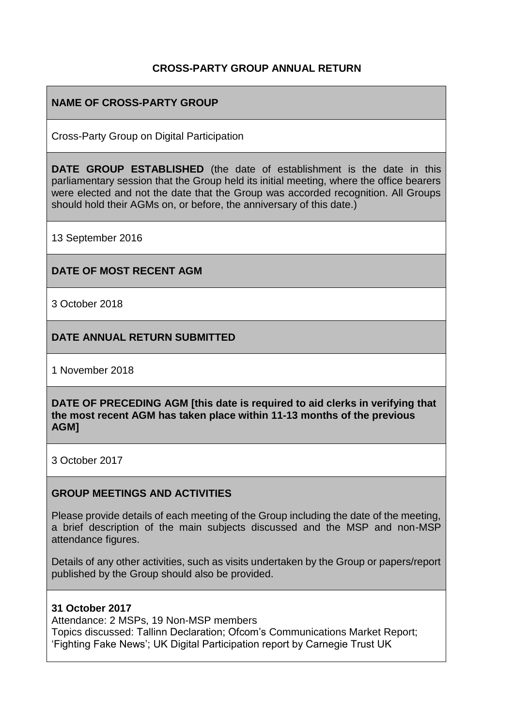## **CROSS-PARTY GROUP ANNUAL RETURN**

# **NAME OF CROSS-PARTY GROUP**

Cross-Party Group on Digital Participation

**DATE GROUP ESTABLISHED** (the date of establishment is the date in this parliamentary session that the Group held its initial meeting, where the office bearers were elected and not the date that the Group was accorded recognition. All Groups should hold their AGMs on, or before, the anniversary of this date.)

13 September 2016

### **DATE OF MOST RECENT AGM**

3 October 2018

### **DATE ANNUAL RETURN SUBMITTED**

1 November 2018

#### **DATE OF PRECEDING AGM [this date is required to aid clerks in verifying that the most recent AGM has taken place within 11-13 months of the previous AGM]**

3 October 2017

#### **GROUP MEETINGS AND ACTIVITIES**

Please provide details of each meeting of the Group including the date of the meeting, a brief description of the main subjects discussed and the MSP and non-MSP attendance figures.

Details of any other activities, such as visits undertaken by the Group or papers/report published by the Group should also be provided.

#### **31 October 2017**

Attendance: 2 MSPs, 19 Non-MSP members Topics discussed: Tallinn Declaration; Ofcom's Communications Market Report; 'Fighting Fake News'; UK Digital Participation report by Carnegie Trust UK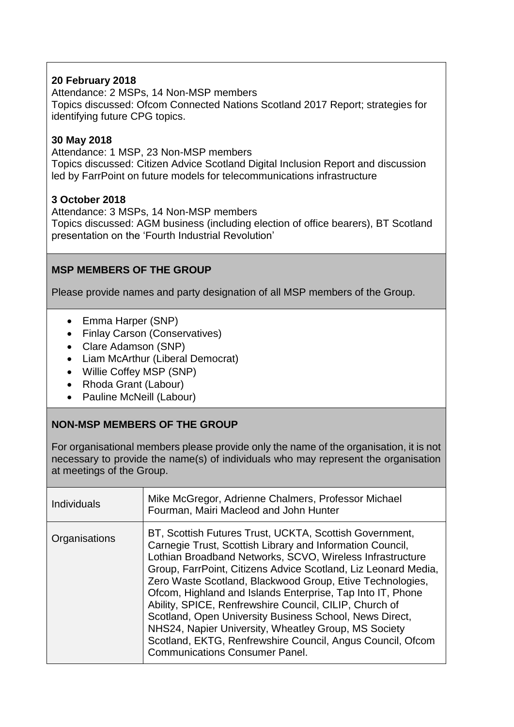# **20 February 2018**

Attendance: 2 MSPs, 14 Non-MSP members Topics discussed: Ofcom Connected Nations Scotland 2017 Report; strategies for identifying future CPG topics.

## **30 May 2018**

Attendance: 1 MSP, 23 Non-MSP members Topics discussed: Citizen Advice Scotland Digital Inclusion Report and discussion led by FarrPoint on future models for telecommunications infrastructure

# **3 October 2018**

Attendance: 3 MSPs, 14 Non-MSP members Topics discussed: AGM business (including election of office bearers), BT Scotland presentation on the 'Fourth Industrial Revolution'

# **MSP MEMBERS OF THE GROUP**

Please provide names and party designation of all MSP members of the Group.

- Emma Harper (SNP)
- Finlay Carson (Conservatives)
- Clare Adamson (SNP)
- Liam McArthur (Liberal Democrat)
- Willie Coffey MSP (SNP)
- Rhoda Grant (Labour)
- Pauline McNeill (Labour)

# **NON-MSP MEMBERS OF THE GROUP**

For organisational members please provide only the name of the organisation, it is not necessary to provide the name(s) of individuals who may represent the organisation at meetings of the Group.

| <b>Individuals</b> | Mike McGregor, Adrienne Chalmers, Professor Michael<br>Fourman, Mairi Macleod and John Hunter                                                                                                                                                                                                                                                                                                                                                                                                                                                                                                                                                                      |
|--------------------|--------------------------------------------------------------------------------------------------------------------------------------------------------------------------------------------------------------------------------------------------------------------------------------------------------------------------------------------------------------------------------------------------------------------------------------------------------------------------------------------------------------------------------------------------------------------------------------------------------------------------------------------------------------------|
| Organisations      | BT, Scottish Futures Trust, UCKTA, Scottish Government,<br>Carnegie Trust, Scottish Library and Information Council,<br>Lothian Broadband Networks, SCVO, Wireless Infrastructure<br>Group, FarrPoint, Citizens Advice Scotland, Liz Leonard Media,<br>Zero Waste Scotland, Blackwood Group, Etive Technologies,<br>Ofcom, Highland and Islands Enterprise, Tap Into IT, Phone<br>Ability, SPICE, Renfrewshire Council, CILIP, Church of<br>Scotland, Open University Business School, News Direct,<br>NHS24, Napier University, Wheatley Group, MS Society<br>Scotland, EKTG, Renfrewshire Council, Angus Council, Ofcom<br><b>Communications Consumer Panel.</b> |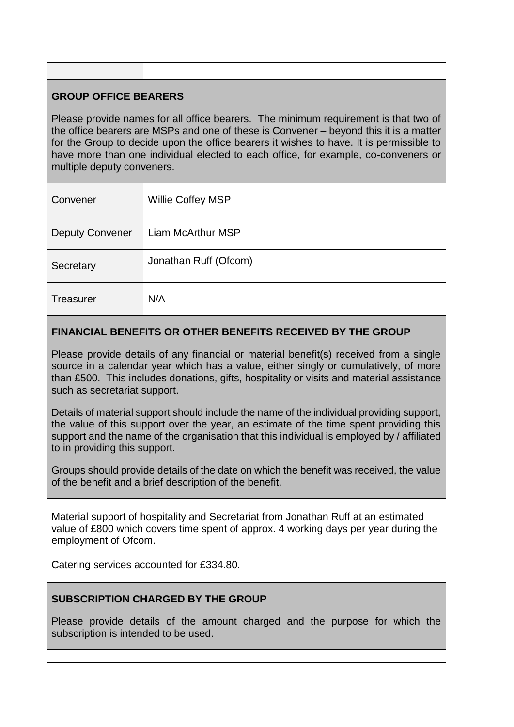# **GROUP OFFICE BEARERS**

Please provide names for all office bearers. The minimum requirement is that two of the office bearers are MSPs and one of these is Convener – beyond this it is a matter for the Group to decide upon the office bearers it wishes to have. It is permissible to have more than one individual elected to each office, for example, co-conveners or multiple deputy conveners.

| Convener               | Willie Coffey MSP     |
|------------------------|-----------------------|
| <b>Deputy Convener</b> | Liam McArthur MSP     |
| Secretary              | Jonathan Ruff (Ofcom) |
| Treasurer              | N/A                   |

# **FINANCIAL BENEFITS OR OTHER BENEFITS RECEIVED BY THE GROUP**

Please provide details of any financial or material benefit(s) received from a single source in a calendar year which has a value, either singly or cumulatively, of more than £500. This includes donations, gifts, hospitality or visits and material assistance such as secretariat support.

Details of material support should include the name of the individual providing support, the value of this support over the year, an estimate of the time spent providing this support and the name of the organisation that this individual is employed by / affiliated to in providing this support.

Groups should provide details of the date on which the benefit was received, the value of the benefit and a brief description of the benefit.

Material support of hospitality and Secretariat from Jonathan Ruff at an estimated value of £800 which covers time spent of approx. 4 working days per year during the employment of Ofcom.

Catering services accounted for £334.80.

## **SUBSCRIPTION CHARGED BY THE GROUP**

Please provide details of the amount charged and the purpose for which the subscription is intended to be used.